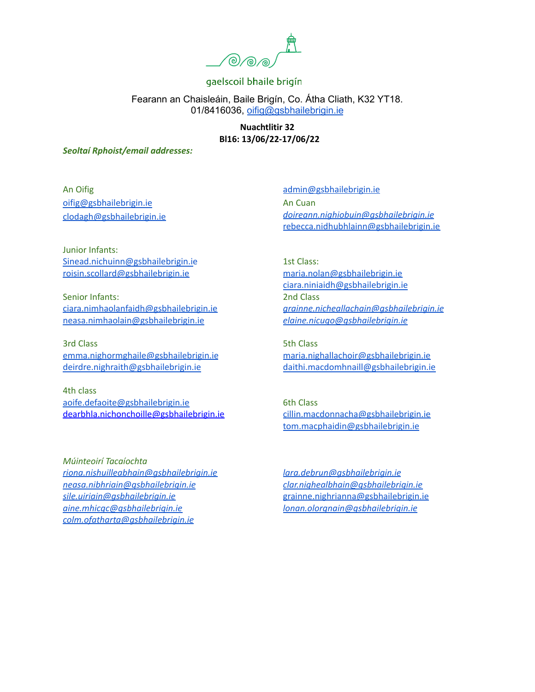

Fearann an Chaisleáin, Baile Brigín, Co. Átha Cliath, K32 YT18. 01/8416036, [oifig@gsbhailebrigin.ie](mailto:oifig@gsbhailebrigin.ie)

> **Nuachtlitir 32 Bl16: 13/06/22-17/06/22**

*Seoltaí Rphoist/email addresses:*

An Oifig [oifig@gsbhailebrigin.ie](mailto:oifig@gsbhailebrigin.ie) [clodagh@gsbhailebrigin.ie](mailto:clodagh@gsbhailebrigin.ie)

[admin@gsbhailebrigin.ie](mailto:admin@gsbhailebrigin.ie) An Cuan *[doireann.nighiobuin@gsbhailebrigin.ie](mailto:doireann.nighiobuin@gsbhailebrigin.ie)* [rebecca.nidhubhlainn@gsbhailebrigin.ie](mailto:rebecca.nidhubhlainn@gsbhailebrigin.ie)

Junior Infants: [Sinead.nichuinn@gsbhailebrigin.ie](mailto:Sinead.nichuinn@gsbhailebrigin.ie) [roisin.scollard@gsbhailebrigin.ie](mailto:roisin.scollard@gsbhailebrigin.ie)

Senior Infants: [ciara.nimhaolanfaidh@gsbhailebrigin.ie](mailto:ciara.nimhaolanfaidh@gsbhailebrigin.ie) [neasa.nimhaolain@gsbhailebrigin.ie](mailto:neasa.nimhaolain@gsbhailebrigin.ie)

3rd Class [emma.nighormghaile@gsbhailebrigin.ie](mailto:emma.nighormghaile@gsbhailebrigin.ie) [deirdre.nighraith@gsbhailebrigin.ie](mailto:deirdre.nighraith@gsbhailebrigin.ie)

4th class [aoife.defaoite@gsbhailebrigin.ie](mailto:aoife.defaoite@gsbhailebrigin.ie) dearbhla.nichonchoille@gsbhailebrigin.ie

*Múinteoirí Tacaíochta [riona.nishuilleabhain@gsbhailebrigin.ie](mailto:riona.nishuilleabhain@gsbhailebrigin.ie) [neasa.nibhriain@gsbhailebrigin.ie](mailto:neasa.nibhriain@gsbhailebrigin.ie) [sile.uiriain@gsbhailebrigin.ie](mailto:sile.uiriain@gsbhailebrigin.ie) [aine.mhicgc@gsbhailebrigin.ie](mailto:aine.mhicgc@gsbhailebrigin.ie) [colm.ofatharta@gsbhailebrigin.ie](mailto:colm.ofatharta@gsbhailebrigin.ie)*

1st Class: [maria.nolan@gsbhailebrigin.ie](mailto:maria.nolan@gsbhailebrigin.ie) [ciara.niniaidh@gsbhailebrigin.ie](mailto:ciara.niniaidh@gsbhailebrigin.ie) 2nd Class *[grainne.nicheallachain@gsbhailebrigin.ie](mailto:grainne.nicheallachain@gsbhailebrigin.ie) [elaine.nicugo@gsbhailebrigin.ie](mailto:elaine.nicugo@gsbhailebrigin.ie)*

5th Class [maria.nighallachoir@gsbhailebrigin.ie](mailto:maria.nighallachoir@gsbhailebrigin.ie) [daithi.macdomhnaill@gsbhailebrigin.ie](mailto:daithi.macdomhnaill@gsbhailebrigin.ie)

6th Class [cillin.macdonnacha@gsbhailebrigin.ie](mailto:cillin.macdonnacha@gsbhailebrigin.ie) [tom.macphaidin@gsbhailebrigin.ie](mailto:tom.macphaidin@gsbhailebrigin.ie)

*[lara.debrun@gsbhailebrigin.ie](mailto:lara.debrun@gsbhailebrigin.ie) [clar.nighealbhain@gsbhailebrigin.ie](mailto:clar.nighealbhain@gsbhailebrigin.ie)* [grainne.nighrianna@gsbhailebrigin.ie](mailto:grainne.nighrianna@gsbhailebrigin.ie) *[lonan.olorgnain@gsbhailebrigin.ie](mailto:lonan.olorgnain@gsbhailebrigin.ie)*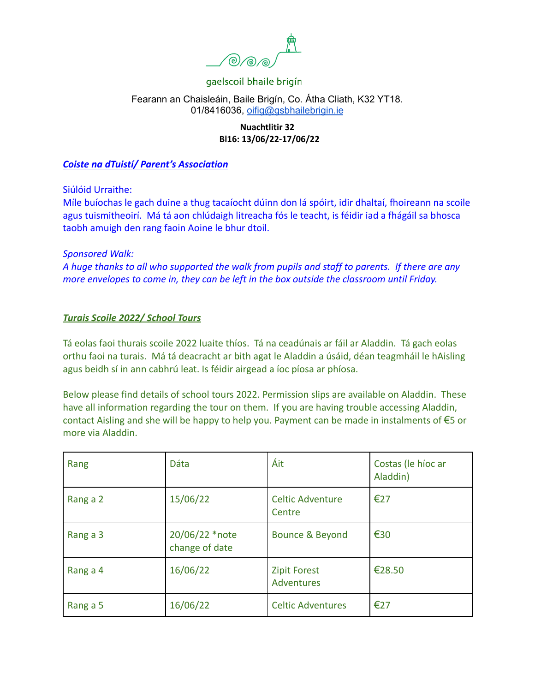

#### Fearann an Chaisleáin, Baile Brigín, Co. Átha Cliath, K32 YT18. 01/8416036, [oifig@gsbhailebrigin.ie](mailto:oifig@gsbhailebrigin.ie)

#### **Nuachtlitir 32 Bl16: 13/06/22-17/06/22**

#### *Coiste na dTuistí/ Parent's Association*

Siúlóid Urraithe:

Míle buíochas le gach duine a thug tacaíocht dúinn don lá spóirt, idir dhaltaí, fhoireann na scoile agus tuismitheoirí. Má tá aon chlúdaigh litreacha fós le teacht, is féidir iad a fhágáil sa bhosca taobh amuigh den rang faoin Aoine le bhur dtoil.

#### *Sponsored Walk:*

*A huge thanks to all who supported the walk from pupils and staff to parents. If there are any more envelopes to come in, they can be left in the box outside the classroom until Friday.*

#### *Turais Scoile 2022/ School Tours*

Tá eolas faoi thurais scoile 2022 luaite thíos. Tá na ceadúnais ar fáil ar Aladdin. Tá gach eolas orthu faoi na turais. Má tá deacracht ar bith agat le Aladdin a úsáid, déan teagmháil le hAisling agus beidh sí in ann cabhrú leat. Is féidir airgead a íoc píosa ar phíosa.

Below please find details of school tours 2022. Permission slips are available on Aladdin. These have all information regarding the tour on them. If you are having trouble accessing Aladdin, contact Aisling and she will be happy to help you. Payment can be made in instalments of €5 or more via Aladdin.

| Rang     | Dáta                             | Áit                               | Costas (le híoc ar<br>Aladdin) |
|----------|----------------------------------|-----------------------------------|--------------------------------|
| Rang a 2 | 15/06/22                         | <b>Celtic Adventure</b><br>Centre | €27                            |
| Rang a 3 | 20/06/22 *note<br>change of date | Bounce & Beyond                   | €30                            |
| Rang a 4 | 16/06/22                         | <b>Zipit Forest</b><br>Adventures | €28.50                         |
| Rang a 5 | 16/06/22                         | <b>Celtic Adventures</b>          | €27                            |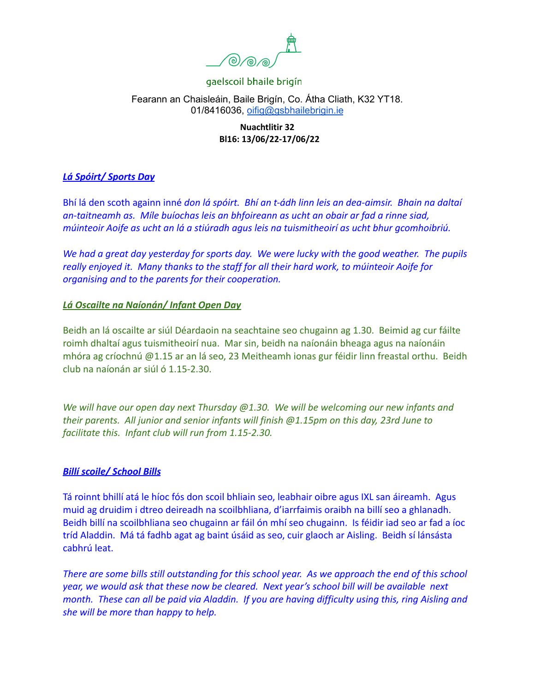

# Fearann an Chaisleáin, Baile Brigín, Co. Átha Cliath, K32 YT18. 01/8416036, [oifig@gsbhailebrigin.ie](mailto:oifig@gsbhailebrigin.ie)

## **Nuachtlitir 32 Bl16: 13/06/22-17/06/22**

# *Lá Spóirt/ Sports Day*

Bhí lá den scoth againn inné *don lá spóirt. Bhí an t-ádh linn leis an dea-aimsir. Bhain na daltaí an-taitneamh as. Míle buíochas leis an bhfoireann as ucht an obair ar fad a rinne siad, múinteoir Aoife as ucht an lá a stiúradh agus leis na tuismitheoirí as ucht bhur gcomhoibriú.*

*We had a great day yesterday for sports day. We were lucky with the good weather. The pupils really enjoyed it. Many thanks to the staff for all their hard work, to múinteoir Aoife for organising and to the parents for their cooperation.*

## *Lá Oscailte na Naíonán/ Infant Open Day*

Beidh an lá oscailte ar siúl Déardaoin na seachtaine seo chugainn ag 1.30. Beimid ag cur fáilte roimh dhaltaí agus tuismitheoirí nua. Mar sin, beidh na naíonáin bheaga agus na naíonáin mhóra ag críochnú @1.15 ar an lá seo, 23 Meitheamh ionas gur féidir linn freastal orthu. Beidh club na naíonán ar siúl ó 1.15-2.30.

*We will have our open day next Thursday @1.30. We will be welcoming our new infants and their parents. All junior and senior infants will finish @1.15pm on this day, 23rd June to facilitate this. Infant club will run from 1.15-2.30.*

## *Billí scoile/ School Bills*

Tá roinnt bhillí atá le híoc fós don scoil bhliain seo, leabhair oibre agus IXL san áireamh. Agus muid ag druidim i dtreo deireadh na scoilbhliana, d'iarrfaimis oraibh na billí seo a ghlanadh. Beidh billí na scoilbhliana seo chugainn ar fáil ón mhí seo chugainn. Is féidir iad seo ar fad a íoc tríd Aladdin. Má tá fadhb agat ag baint úsáid as seo, cuir glaoch ar Aisling. Beidh sí lánsásta cabhrú leat.

*There are some bills still outstanding for this school year. As we approach the end of this school year, we would ask that these now be cleared. Next year's school bill will be available next month. These can all be paid via Aladdin. If you are having difficulty using this, ring Aisling and she will be more than happy to help.*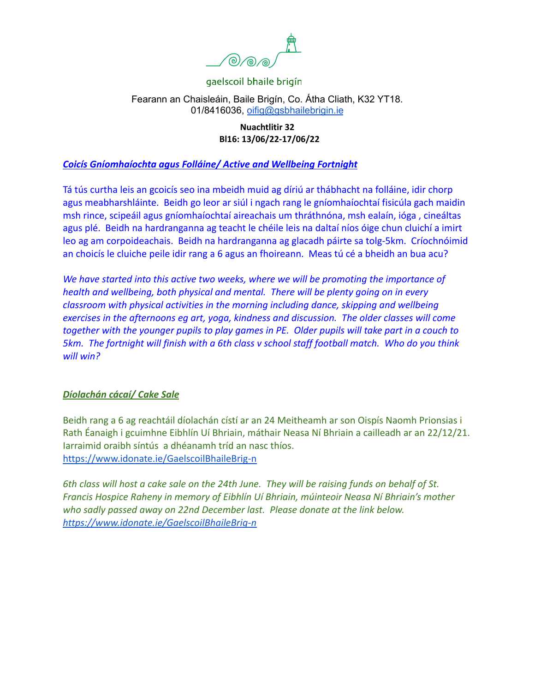

#### Fearann an Chaisleáin, Baile Brigín, Co. Átha Cliath, K32 YT18. 01/8416036, [oifig@gsbhailebrigin.ie](mailto:oifig@gsbhailebrigin.ie)

#### **Nuachtlitir 32 Bl16: 13/06/22-17/06/22**

## *Coicís Gníomhaíochta agus Folláine/ Active and Wellbeing Fortnight*

Tá tús curtha leis an gcoicís seo ina mbeidh muid ag díriú ar thábhacht na folláine, idir chorp agus meabharshláinte. Beidh go leor ar siúl i ngach rang le gníomhaíochtaí fisicúla gach maidin msh rince, scipeáil agus gníomhaíochtaí aireachais um thráthnóna, msh ealaín, ióga , cineáltas agus plé. Beidh na hardranganna ag teacht le chéile leis na daltaí níos óige chun cluichí a imirt leo ag am corpoideachais. Beidh na hardranganna ag glacadh páirte sa tolg-5km. Críochnóimid an choicís le cluiche peile idir rang a 6 agus an fhoireann. Meas tú cé a bheidh an bua acu?

*We have started into this active two weeks, where we will be promoting the importance of health and wellbeing, both physical and mental. There will be plenty going on in every classroom with physical activities in the morning including dance, skipping and wellbeing exercises in the afternoons eg art, yoga, kindness and discussion. The older classes will come together with the younger pupils to play games in PE. Older pupils will take part in a couch to 5km. The fortnight will finish with a 6th class v school staff football match. Who do you think will win?*

#### *Díolachán cácaí/ Cake Sale*

Beidh rang a 6 ag reachtáil díolachán cístí ar an 24 Meitheamh ar son Oispís Naomh Prionsias i Rath Éanaigh i gcuimhne Eibhlín Uí Bhriain, máthair Neasa Ní Bhriain a cailleadh ar an 22/12/21. Iarraimid oraibh síntús a dhéanamh tríd an nasc thíos. <https://www.idonate.ie/GaelscoilBhaileBrig-n>

*6th class will host a cake sale on the 24th June. They will be raising funds on behalf of St. Francis Hospice Raheny in memory of Eibhlín Uí Bhriain, múinteoir Neasa Ní Bhriain's mother who sadly passed away on 22nd December last. Please donate at the link below. <https://www.idonate.ie/GaelscoilBhaileBrig-n>*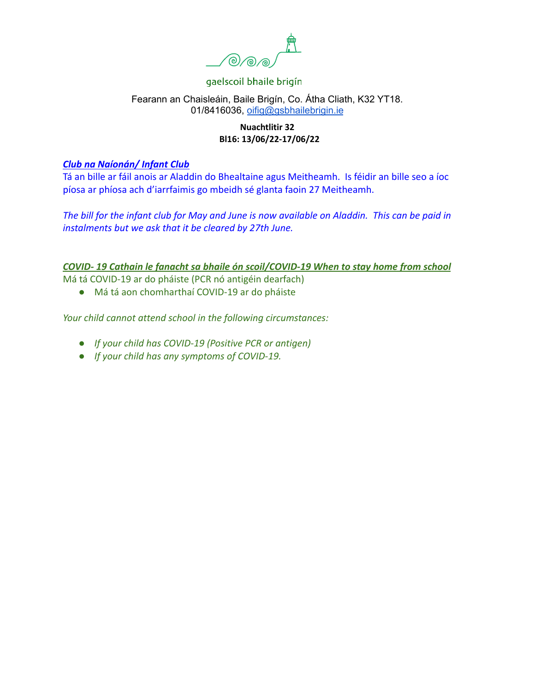

#### Fearann an Chaisleáin, Baile Brigín, Co. Átha Cliath, K32 YT18. 01/8416036, [oifig@gsbhailebrigin.ie](mailto:oifig@gsbhailebrigin.ie)

## **Nuachtlitir 32 Bl16: 13/06/22-17/06/22**

#### *Club na Naíonán/ Infant Club*

Tá an bille ar fáil anois ar Aladdin do Bhealtaine agus Meitheamh. Is féidir an bille seo a íoc píosa ar phíosa ach d'iarrfaimis go mbeidh sé glanta faoin 27 Meitheamh.

*The bill for the infant club for May and June is now available on Aladdin. This can be paid in instalments but we ask that it be cleared by 27th June.*

#### *COVID- 19 Cathain le fanacht sa bhaile ón scoil/COVID-19 When to stay home from school*

Má tá COVID-19 ar do pháiste (PCR nó antigéin dearfach)

● Má tá aon chomharthaí COVID-19 ar do pháiste

*Your child cannot attend school in the following circumstances:*

- *● If your child has COVID-19 (Positive PCR or antigen)*
- *● If your child has any symptoms of COVID-19.*